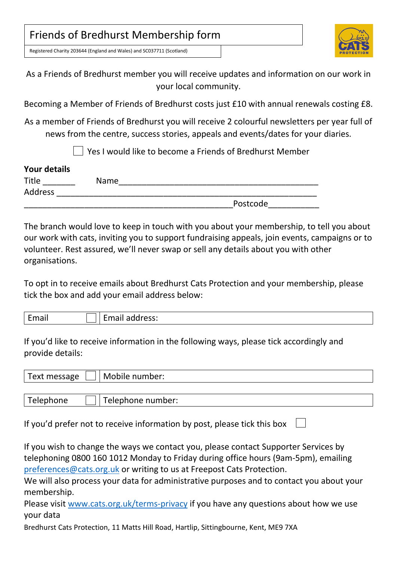

Registered Charity 203644 (England and Wales) and SC037711 (Scotland)

As a Friends of Bredhurst member you will receive updates and information on our work in your local community.

Becoming a Member of Friends of Bredhurst costs just £10 with annual renewals costing £8.

As a member of Friends of Bredhurst you will receive 2 colourful newsletters per year full of news from the centre, success stories, appeals and events/dates for your diaries.

Yes I would like to become a Friends of Bredhurst Member

## **Your details**

| <b>Title</b> | Name |          |  |
|--------------|------|----------|--|
| Address      |      |          |  |
|              |      | Postcode |  |

The branch would love to keep in touch with you about your membership, to tell you about our work with cats, inviting you to support fundraising appeals, join events, campaigns or to volunteer. Rest assured, we'll never swap or sell any details about you with other organisations.

To opt in to receive emails about Bredhurst Cats Protection and your membership, please tick the box and add your email address below:

| Email<br>Email address:<br>. |
|------------------------------|
|------------------------------|

If you'd like to receive information in the following ways, please tick accordingly and provide details:

| Text message | Mobile number:    |
|--------------|-------------------|
|              |                   |
| Telephone    | Telephone number: |

If you'd prefer not to receive information by post, please tick this box

If you wish to change the ways we contact you, please contact Supporter Services by telephoning 0800 160 1012 Monday to Friday during office hours (9am-5pm), emailing [preferences@cats.org.uk](mailto:preferences@cats.org.uk) or writing to us at Freepost Cats Protection.

We will also process your data for administrative purposes and to contact you about your membership.

Please visit [www.cats.org.uk/terms-privacy](http://www.cats.org.uk/terms-privacy) if you have any questions about how we use your data

Bredhurst Cats Protection, 11 Matts Hill Road, Hartlip, Sittingbourne, Kent, ME9 7XA